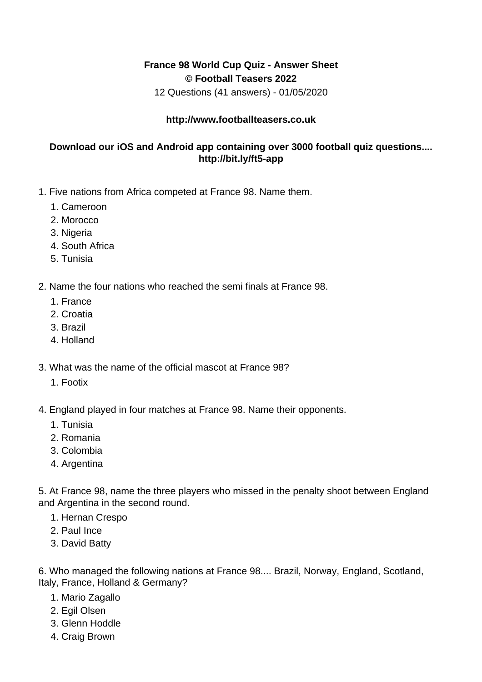## **France 98 World Cup Quiz - Answer Sheet © Football Teasers 2022**

12 Questions (41 answers) - 01/05/2020

## **http://www.footballteasers.co.uk**

## **Download our iOS and Android app containing over 3000 football quiz questions.... http://bit.ly/ft5-app**

- 1. Five nations from Africa competed at France 98. Name them.
	- 1. Cameroon
	- 2. Morocco
	- 3. Nigeria
	- 4. South Africa
	- 5. Tunisia
- 2. Name the four nations who reached the semi finals at France 98.
	- 1. France
	- 2. Croatia
	- 3. Brazil
	- 4. Holland
- 3. What was the name of the official mascot at France 98?
	- 1. Footix
- 4. England played in four matches at France 98. Name their opponents.
	- 1. Tunisia
	- 2. Romania
	- 3. Colombia
	- 4. Argentina

5. At France 98, name the three players who missed in the penalty shoot between England and Argentina in the second round.

- 1. Hernan Crespo
- 2. Paul Ince
- 3. David Batty

6. Who managed the following nations at France 98.... Brazil, Norway, England, Scotland, Italy, France, Holland & Germany?

- 1. Mario Zagallo
- 2. Egil Olsen
- 3. Glenn Hoddle
- 4. Craig Brown